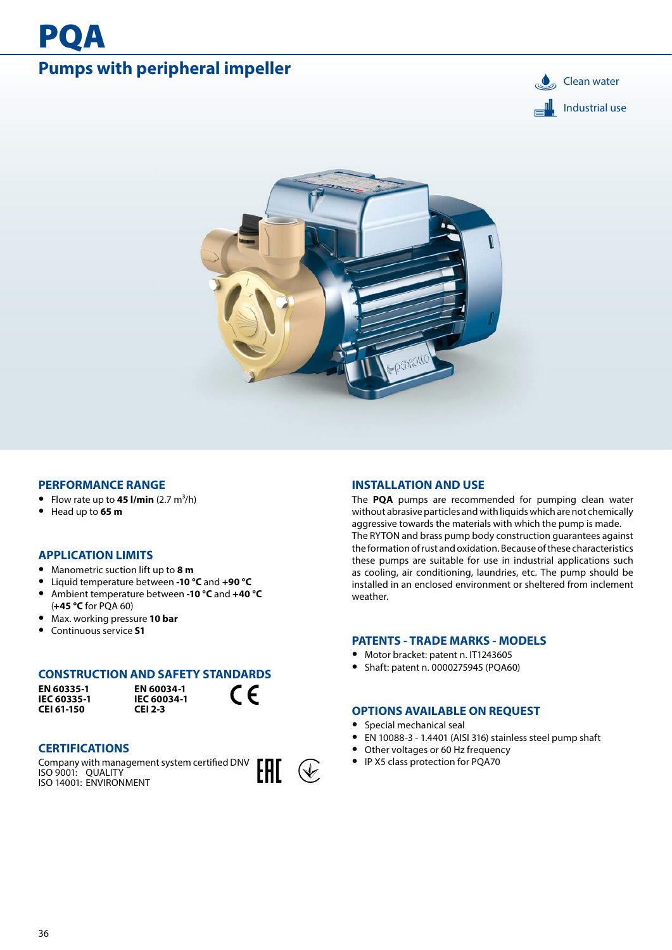# **Pumps with peripheral impeller** and the set of the set of the set of the set of the set of the set of the set of the set of the set of the set of the set of the set of the set of the set of the set of the set of the set o

**PQA** 





### **PERFORMANCE RANGE**

- Flow rate up to  $45$  l/min  $(2.7 \text{ m}^3/\text{h})$
- **•** Head up to **65 m**

## **APPLICATION LIMITS**

- **•** Manometric suction lift up to **8 m**
- **•** Liquid temperature between **-10 °C** and **+90 °C**
- **•** Ambient temperature between **-10 °C** and **+40 °C**  (**+45 °C** for PQA 60)
- **•** Max. working pressure **10 bar**
- **•** Continuous service **S1**

### **CONSTRUCTION AND SAFETY STANDARDS**

**EN 60335-1 IEC 60335-1 CEI 61-150**

**EN 60034-1 IEC 60034-1 CEI 2-3**

# **CERTIFICATIONS**

Company with management system certified DNV ISO 9001: QUALITY ISO 14001: ENVIRONMENT



 $C \in$ 

### **INSTALLATION AND USE**

The **PQA** pumps are recommended for pumping clean water without abrasive particles and with liquids which are not chemically aggressive towards the materials with which the pump is made. The RYTON and brass pump body construction guarantees against the formation of rust and oxidation. Because of these characteristics these pumps are suitable for use in industrial applications such as cooling, air conditioning, laundries, etc. The pump should be installed in an enclosed environment or sheltered from inclement weather.

### **PATENTS - TRADE MARKS - MODELS**

- **•** Motor bracket: patent n. IT1243605
- **•** Shaft: patent n. 0000275945 (PQA60)

### **OPTIONS AVAILABLE ON REQUEST**

- **•** Special mechanical seal
- **•** EN 10088-3 1.4401 (AISI 316) stainless steel pump shaft
- **•** Other voltages or 60 Hz frequency
- **•** IP X5 class protection for PQA70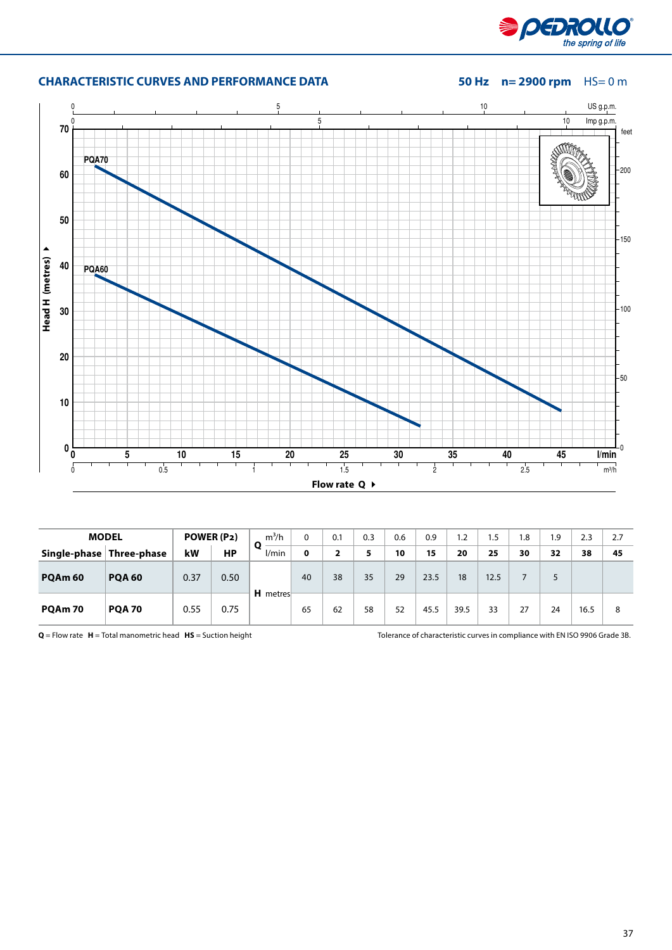

# **CHARACTERISTIC CURVES AND PERFORMANCE DATA** 50 Hz  $n= 2900$  rpm HS= 0 m



| <b>MODEL</b>       |                          | POWER (P2) |      | $m^3/h$         |    | 0.1 | 0.3 | 0.6 | 0.9  | 1.2  | 1.5  | 1.8 | 1.9 | 2.3  | 2.7 |
|--------------------|--------------------------|------------|------|-----------------|----|-----|-----|-----|------|------|------|-----|-----|------|-----|
|                    | Single-phase Three-phase | kW         | НP   | O<br>l/min      | 0  |     |     | 10  | 15   | 20   | 25   | 30  | 32  | 38   | 45  |
| PQAm <sub>60</sub> | <b>POA 60</b>            | 0.37       | 0.50 | <b>H</b> metres | 40 | 38  | 35  | 29  | 23.5 | 18   | 12.5 |     |     |      |     |
| PQAm 70            | <b>PQA 70</b>            | 0.55       | 0.75 |                 | 65 | 62  | 58  | 52  | 45.5 | 39.5 | 33   | 27  | 24  | 16.5 | 8   |

**Q** = Flow rate **H** = Total manometric head **HS** = Suction height Tolerance of characteristic curves in compliance with EN ISO 9906 Grade 3B.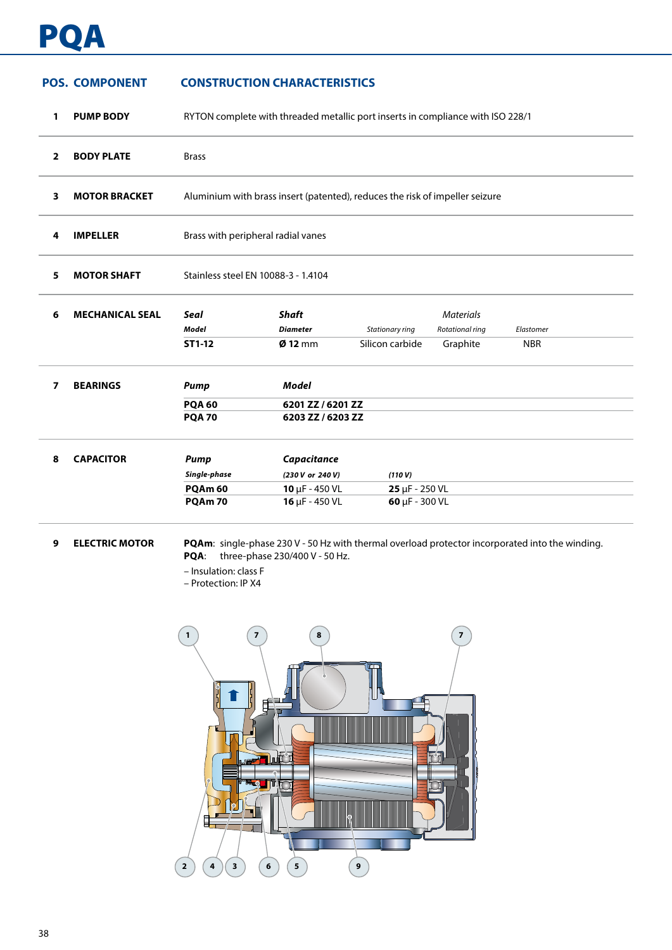# P

# **POS. COMPONENT CONSTRUCTION CHARACTERISTICS**

| 1              | <b>PUMP BODY</b>       |                                     | RYTON complete with threaded metallic port inserts in compliance with ISO 228/1 |                             |                                     |            |  |  |  |  |  |  |  |
|----------------|------------------------|-------------------------------------|---------------------------------------------------------------------------------|-----------------------------|-------------------------------------|------------|--|--|--|--|--|--|--|
| $\overline{2}$ | <b>BODY PLATE</b>      | <b>Brass</b>                        |                                                                                 |                             |                                     |            |  |  |  |  |  |  |  |
| 3              | <b>MOTOR BRACKET</b>   |                                     | Aluminium with brass insert (patented), reduces the risk of impeller seizure    |                             |                                     |            |  |  |  |  |  |  |  |
| 4              | <b>IMPELLER</b>        | Brass with peripheral radial vanes  |                                                                                 |                             |                                     |            |  |  |  |  |  |  |  |
| 5              | <b>MOTOR SHAFT</b>     | Stainless steel EN 10088-3 - 1.4104 |                                                                                 |                             |                                     |            |  |  |  |  |  |  |  |
| 6              | <b>MECHANICAL SEAL</b> | <b>Seal</b><br><b>Model</b>         | <b>Shaft</b><br><b>Diameter</b>                                                 | Stationary ring             | <b>Materials</b><br>Rotational ring | Elastomer  |  |  |  |  |  |  |  |
|                |                        | ST1-12                              | $Ø$ 12 mm                                                                       | Silicon carbide             | Graphite                            | <b>NBR</b> |  |  |  |  |  |  |  |
| 7              | <b>BEARINGS</b>        | <b>Pump</b>                         | <b>Model</b>                                                                    |                             |                                     |            |  |  |  |  |  |  |  |
|                |                        | <b>PQA 60</b><br><b>PQA 70</b>      | 6201 ZZ / 6201 ZZ<br>6203 ZZ / 6203 ZZ                                          |                             |                                     |            |  |  |  |  |  |  |  |
| 8              | <b>CAPACITOR</b>       | Pump                                | Capacitance                                                                     |                             |                                     |            |  |  |  |  |  |  |  |
|                |                        | Single-phase                        | (230 V or 240 V)                                                                | (110 V)                     |                                     |            |  |  |  |  |  |  |  |
|                |                        | PQAm <sub>60</sub>                  | $10 \mu F - 450 \text{ VL}$                                                     | $25 \mu F - 250 \text{ VL}$ |                                     |            |  |  |  |  |  |  |  |
|                |                        | PQAm 70                             | 16 µF - 450 VL                                                                  | 60 µF - 300 VL              |                                     |            |  |  |  |  |  |  |  |
|                |                        |                                     |                                                                                 |                             |                                     |            |  |  |  |  |  |  |  |

**9 ELECTRIC MOTOR PQAm**: single-phase 230 V - 50 Hz with thermal overload protector incorporated into the winding. **PQA**: three-phase 230/400 V - 50 Hz.

– Insulation: class F

– Protection: IP X4